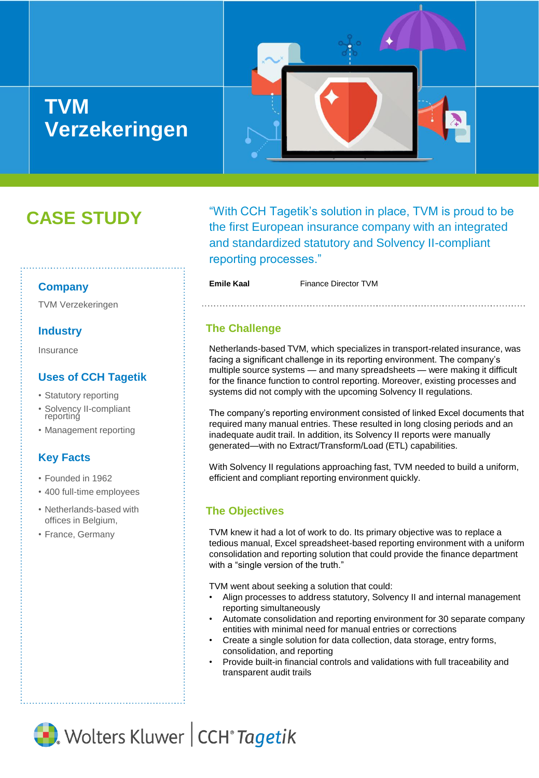# **TVM Verzekeringen**



# **CASE STUDY**

"With CCH Tagetik's solution in place, TVM is proud to be the first European insurance company with an integrated and standardized statutory and Solvency II-compliant reporting processes."

**Emile Kaal** Finance Director TVM

### **Company**

TVM Verzekeringen

## **Industry**

Insurance

## **Uses of CCH Tagetik**

- Statutory reporting
- Solvency II-compliant reporting
- Management reporting

## **Key Facts**

- Founded in 1962
- 400 full-time employees
- Netherlands-based with offices in Belgium,
- France, Germany

## **The Challenge**

Netherlands-based TVM, which specializes in transport-related insurance, was facing a significant challenge in its reporting environment. The company's multiple source systems — and many spreadsheets — were making it difficult for the finance function to control reporting. Moreover, existing processes and systems did not comply with the upcoming Solvency II regulations.

The company's reporting environment consisted of linked Excel documents that required many manual entries. These resulted in long closing periods and an inadequate audit trail. In addition, its Solvency II reports were manually generated—with no Extract/Transform/Load (ETL) capabilities.

With Solvency II regulations approaching fast, TVM needed to build a uniform, efficient and compliant reporting environment quickly.

## **The Objectives**

TVM knew it had a lot of work to do. Its primary objective was to replace a tedious manual, Excel spreadsheet-based reporting environment with a uniform consolidation and reporting solution that could provide the finance department with a "single version of the truth."

TVM went about seeking a solution that could:

- Align processes to address statutory, Solvency II and internal management reporting simultaneously
- Automate consolidation and reporting environment for 30 separate company entities with minimal need for manual entries or corrections
- Create a single solution for data collection, data storage, entry forms, consolidation, and reporting
- Provide built-in financial controls and validations with full traceability and transparent audit trails